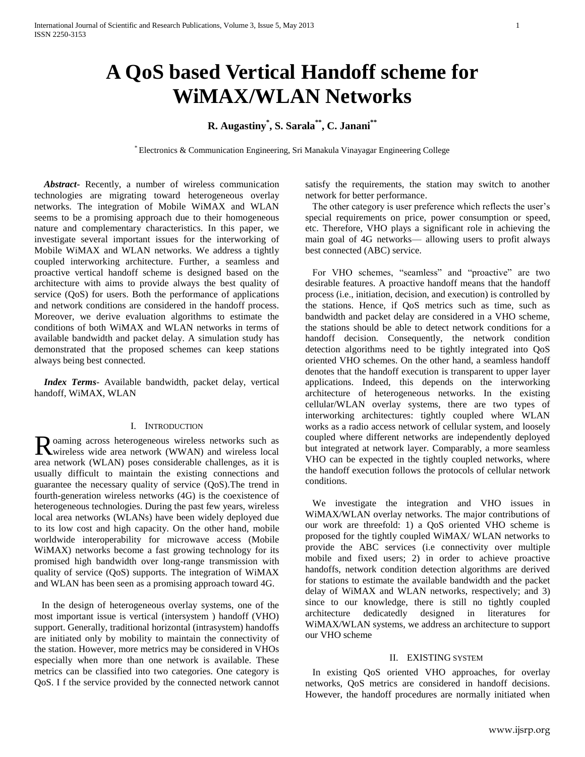# **A QoS based Vertical Handoff scheme for WiMAX/WLAN Networks**

# **R. Augastiny\* , S. Sarala\*\* , C. Janani\*\***

\* Electronics & Communication Engineering, Sri Manakula Vinayagar Engineering College

 *Abstract***-** Recently, a number of wireless communication technologies are migrating toward heterogeneous overlay networks. The integration of Mobile WiMAX and WLAN seems to be a promising approach due to their homogeneous nature and complementary characteristics. In this paper, we investigate several important issues for the interworking of Mobile WiMAX and WLAN networks. We address a tightly coupled interworking architecture. Further, a seamless and proactive vertical handoff scheme is designed based on the architecture with aims to provide always the best quality of service (QoS) for users. Both the performance of applications and network conditions are considered in the handoff process. Moreover, we derive evaluation algorithms to estimate the conditions of both WiMAX and WLAN networks in terms of available bandwidth and packet delay. A simulation study has demonstrated that the proposed schemes can keep stations always being best connected.

 *Index Terms*- Available bandwidth, packet delay, vertical handoff, WiMAX, WLAN

# I. INTRODUCTION

oaming across heterogeneous wireless networks such as Roaming across heterogeneous wireless networks such as wireless wide area network (WWAN) and wireless local area network (WLAN) poses considerable challenges, as it is usually difficult to maintain the existing connections and guarantee the necessary quality of service (QoS).The trend in fourth-generation wireless networks (4G) is the coexistence of heterogeneous technologies. During the past few years, wireless local area networks (WLANs) have been widely deployed due to its low cost and high capacity. On the other hand, mobile worldwide interoperability for microwave access (Mobile WiMAX) networks become a fast growing technology for its promised high bandwidth over long-range transmission with quality of service (QoS) supports. The integration of WiMAX and WLAN has been seen as a promising approach toward 4G.

 In the design of heterogeneous overlay systems, one of the most important issue is vertical (intersystem ) handoff (VHO) support. Generally, traditional horizontal (intrasystem) handoffs are initiated only by mobility to maintain the connectivity of the station. However, more metrics may be considered in VHOs especially when more than one network is available. These metrics can be classified into two categories. One category is QoS. I f the service provided by the connected network cannot

satisfy the requirements, the station may switch to another network for better performance.

 The other category is user preference which reflects the user's special requirements on price, power consumption or speed, etc. Therefore, VHO plays a significant role in achieving the main goal of 4G networks— allowing users to profit always best connected (ABC) service.

 For VHO schemes, "seamless" and "proactive" are two desirable features. A proactive handoff means that the handoff process (i.e., initiation, decision, and execution) is controlled by the stations. Hence, if QoS metrics such as time, such as bandwidth and packet delay are considered in a VHO scheme, the stations should be able to detect network conditions for a handoff decision. Consequently, the network condition detection algorithms need to be tightly integrated into QoS oriented VHO schemes. On the other hand, a seamless handoff denotes that the handoff execution is transparent to upper layer applications. Indeed, this depends on the interworking architecture of heterogeneous networks. In the existing cellular/WLAN overlay systems, there are two types of interworking architectures: tightly coupled where WLAN works as a radio access network of cellular system, and loosely coupled where different networks are independently deployed but integrated at network layer. Comparably, a more seamless VHO can be expected in the tightly coupled networks, where the handoff execution follows the protocols of cellular network conditions.

 We investigate the integration and VHO issues in WiMAX/WLAN overlay networks. The major contributions of our work are threefold: 1) a QoS oriented VHO scheme is proposed for the tightly coupled WiMAX/ WLAN networks to provide the ABC services (i.e connectivity over multiple mobile and fixed users; 2) in order to achieve proactive handoffs, network condition detection algorithms are derived for stations to estimate the available bandwidth and the packet delay of WiMAX and WLAN networks, respectively; and 3) since to our knowledge, there is still no tightly coupled architecture dedicatedly designed in literatures for WiMAX/WLAN systems, we address an architecture to support our VHO scheme

# II. EXISTING SYSTEM

 In existing QoS oriented VHO approaches, for overlay networks, QoS metrics are considered in handoff decisions. However, the handoff procedures are normally initiated when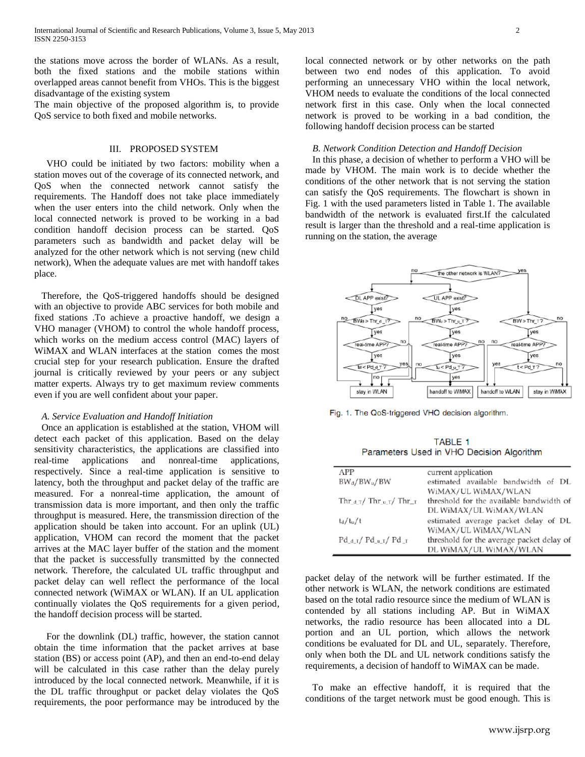the stations move across the border of WLANs. As a result, both the fixed stations and the mobile stations within overlapped areas cannot benefit from VHOs. This is the biggest disadvantage of the existing system

The main objective of the proposed algorithm is, to provide QoS service to both fixed and mobile networks.

# III. PROPOSED SYSTEM

 VHO could be initiated by two factors: mobility when a station moves out of the coverage of its connected network, and QoS when the connected network cannot satisfy the requirements. The Handoff does not take place immediately when the user enters into the child network. Only when the local connected network is proved to be working in a bad condition handoff decision process can be started. QoS parameters such as bandwidth and packet delay will be analyzed for the other network which is not serving (new child network), When the adequate values are met with handoff takes place.

 Therefore, the QoS-triggered handoffs should be designed with an objective to provide ABC services for both mobile and fixed stations .To achieve a proactive handoff, we design a VHO manager (VHOM) to control the whole handoff process, which works on the medium access control (MAC) layers of WiMAX and WLAN interfaces at the station comes the most crucial step for your research publication. Ensure the drafted journal is critically reviewed by your peers or any subject matter experts. Always try to get maximum review comments even if you are well confident about your paper.

#### *A. Service Evaluation and Handoff Initiation*

 Once an application is established at the station, VHOM will detect each packet of this application. Based on the delay sensitivity characteristics, the applications are classified into real-time applications and nonreal-time applications, respectively. Since a real-time application is sensitive to latency, both the throughput and packet delay of the traffic are measured. For a nonreal-time application, the amount of transmission data is more important, and then only the traffic throughput is measured. Here, the transmission direction of the application should be taken into account. For an uplink (UL) application, VHOM can record the moment that the packet arrives at the MAC layer buffer of the station and the moment that the packet is successfully transmitted by the connected network. Therefore, the calculated UL traffic throughput and packet delay can well reflect the performance of the local connected network (WiMAX or WLAN). If an UL application continually violates the QoS requirements for a given period, the handoff decision process will be started.

 For the downlink (DL) traffic, however, the station cannot obtain the time information that the packet arrives at base station (BS) or access point (AP), and then an end-to-end delay will be calculated in this case rather than the delay purely introduced by the local connected network. Meanwhile, if it is the DL traffic throughput or packet delay violates the QoS requirements, the poor performance may be introduced by the local connected network or by other networks on the path between two end nodes of this application. To avoid performing an unnecessary VHO within the local network, VHOM needs to evaluate the conditions of the local connected network first in this case. Only when the local connected network is proved to be working in a bad condition, the following handoff decision process can be started

#### *B. Network Condition Detection and Handoff Decision*

 In this phase, a decision of whether to perform a VHO will be made by VHOM. The main work is to decide whether the conditions of the other network that is not serving the station can satisfy the QoS requirements. The flowchart is shown in Fig. 1 with the used parameters listed in Table 1. The available bandwidth of the network is evaluated first.If the calculated result is larger than the threshold and a real-time application is running on the station, the average



Fig. 1. The QoS-triggered VHO decision algorithm.

**TABLE 1** Parameters Used in VHO Decision Algorithm

| APP                                                 | current application                       |
|-----------------------------------------------------|-------------------------------------------|
| $BW_d/BW_u/BW$                                      | estimated available bandwidth of DL       |
|                                                     | WiMAX/UL WiMAX/WLAN                       |
| Thr_a_r/ Thr_a_r/ Thr_r                             | threshold for the available bandwidth of  |
|                                                     | DL WiMAX/UL WiMAX/WLAN                    |
| ta/tu/t                                             | estimated average packet delay of DL      |
|                                                     | WiMAX/UL WiMAX/WLAN                       |
| Pd <sub>dI</sub> /Pd <sub>uI</sub> /Pd <sub>I</sub> | threshold for the average packet delay of |
|                                                     | DL WIMAX/UL WiMAX/WLAN                    |

packet delay of the network will be further estimated. If the other network is WLAN, the network conditions are estimated based on the total radio resource since the medium of WLAN is contended by all stations including AP. But in WiMAX networks, the radio resource has been allocated into a DL portion and an UL portion, which allows the network conditions be evaluated for DL and UL, separately. Therefore, only when both the DL and UL network conditions satisfy the requirements, a decision of handoff to WiMAX can be made.

 To make an effective handoff, it is required that the conditions of the target network must be good enough. This is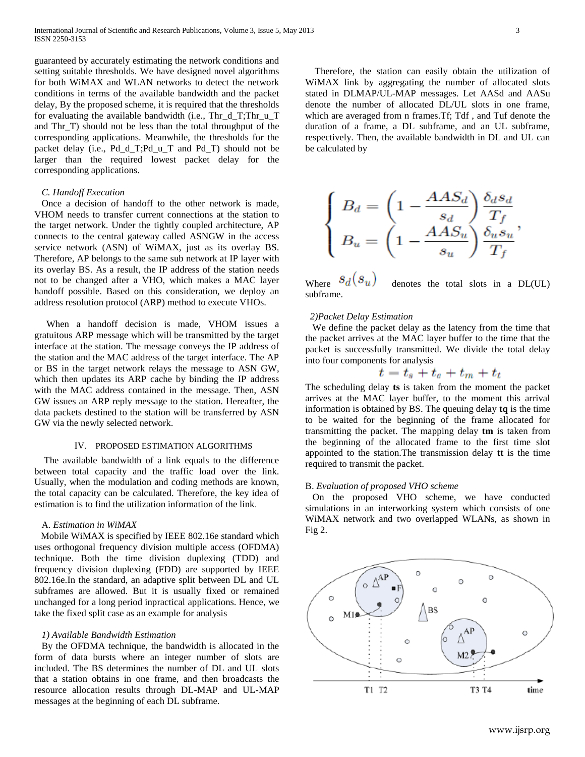guaranteed by accurately estimating the network conditions and setting suitable thresholds. We have designed novel algorithms for both WiMAX and WLAN networks to detect the network conditions in terms of the available bandwidth and the packet delay, By the proposed scheme, it is required that the thresholds for evaluating the available bandwidth (i.e., Thr\_d\_T;Thr\_u\_T and Thr\_T) should not be less than the total throughput of the corresponding applications. Meanwhile, the thresholds for the packet delay (i.e., Pd\_d\_T;Pd\_u\_T and Pd\_T) should not be larger than the required lowest packet delay for the corresponding applications.

# *C. Handoff Execution*

 Once a decision of handoff to the other network is made, VHOM needs to transfer current connections at the station to the target network. Under the tightly coupled architecture, AP connects to the central gateway called ASNGW in the access service network (ASN) of WiMAX, just as its overlay BS. Therefore, AP belongs to the same sub network at IP layer with its overlay BS. As a result, the IP address of the station needs not to be changed after a VHO, which makes a MAC layer handoff possible. Based on this consideration, we deploy an address resolution protocol (ARP) method to execute VHOs.

 When a handoff decision is made, VHOM issues a gratuitous ARP message which will be transmitted by the target interface at the station. The message conveys the IP address of the station and the MAC address of the target interface. The AP or BS in the target network relays the message to ASN GW, which then updates its ARP cache by binding the IP address with the MAC address contained in the message. Then, ASN GW issues an ARP reply message to the station. Hereafter, the data packets destined to the station will be transferred by ASN GW via the newly selected network.

# IV. PROPOSED ESTIMATION ALGORITHMS

 The available bandwidth of a link equals to the difference between total capacity and the traffic load over the link. Usually, when the modulation and coding methods are known, the total capacity can be calculated. Therefore, the key idea of estimation is to find the utilization information of the link.

#### A. *Estimation in WiMAX*

 Mobile WiMAX is specified by IEEE 802.16e standard which uses orthogonal frequency division multiple access (OFDMA) technique. Both the time division duplexing (TDD) and frequency division duplexing (FDD) are supported by IEEE 802.16e.In the standard, an adaptive split between DL and UL subframes are allowed. But it is usually fixed or remained unchanged for a long period inpractical applications. Hence, we take the fixed split case as an example for analysis

# *1) Available Bandwidth Estimation*

 By the OFDMA technique, the bandwidth is allocated in the form of data bursts where an integer number of slots are included. The BS determines the number of DL and UL slots that a station obtains in one frame, and then broadcasts the resource allocation results through DL-MAP and UL-MAP messages at the beginning of each DL subframe.

 Therefore, the station can easily obtain the utilization of WiMAX link by aggregating the number of allocated slots stated in DLMAP/UL-MAP messages. Let AASd and AASu denote the number of allocated DL/UL slots in one frame, which are averaged from n frames.Tf; Tdf , and Tuf denote the duration of a frame, a DL subframe, and an UL subframe, respectively. Then, the available bandwidth in DL and UL can be calculated by

$$
\begin{cases}\nB_d = \left(1 - \frac{AAS_d}{s_d}\right) \frac{\delta_d s_d}{T_f} \\
B_u = \left(1 - \frac{AAS_u}{s_u}\right) \frac{\delta_u s_u}{T_f}\n\end{cases}
$$

Where  $S_d(S_u)$  denotes the total slots in a DL(UL) subframe.

# *2)Packet Delay Estimation*

 We define the packet delay as the latency from the time that the packet arrives at the MAC layer buffer to the time that the packet is successfully transmitted. We divide the total delay into four components for analysis

$$
t = t_s + t_a + t_m + t_{\rm i}
$$

The scheduling delay **ts** is taken from the moment the packet arrives at the MAC layer buffer, to the moment this arrival information is obtained by BS. The queuing delay **tq** is the time to be waited for the beginning of the frame allocated for transmitting the packet. The mapping delay **tm** is taken from the beginning of the allocated frame to the first time slot appointed to the station.The transmission delay **tt** is the time required to transmit the packet.

#### B. *Evaluation of proposed VHO scheme*

 On the proposed VHO scheme, we have conducted simulations in an interworking system which consists of one WiMAX network and two overlapped WLANs, as shown in Fig 2.

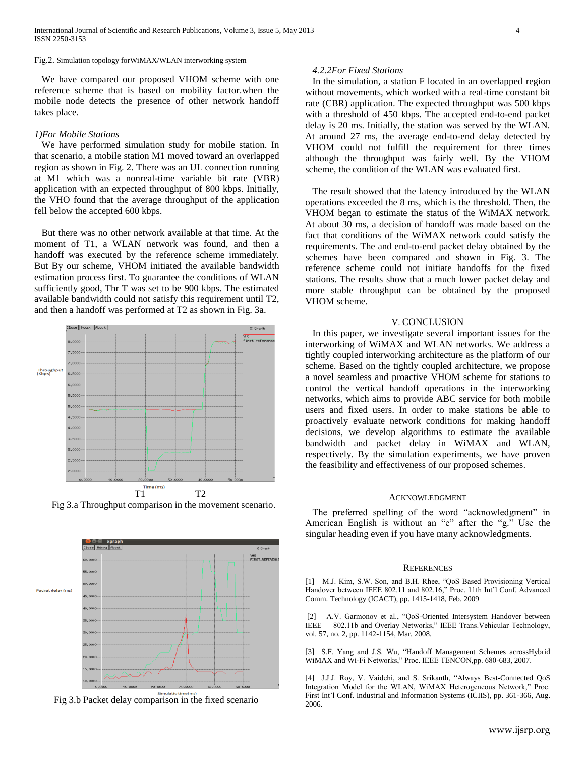#### Fig.2. Simulation topology forWiMAX/WLAN interworking system

 We have compared our proposed VHOM scheme with one reference scheme that is based on mobility factor.when the mobile node detects the presence of other network handoff takes place.

#### *1)For Mobile Stations*

 We have performed simulation study for mobile station. In that scenario, a mobile station M1 moved toward an overlapped region as shown in Fig. 2. There was an UL connection running at M1 which was a nonreal-time variable bit rate (VBR) application with an expected throughput of 800 kbps. Initially, the VHO found that the average throughput of the application fell below the accepted 600 kbps.

 But there was no other network available at that time. At the moment of T1, a WLAN network was found, and then a handoff was executed by the reference scheme immediately. But By our scheme, VHOM initiated the available bandwidth estimation process first. To guarantee the conditions of WLAN sufficiently good, Thr T was set to be 900 kbps. The estimated available bandwidth could not satisfy this requirement until T2, and then a handoff was performed at T2 as shown in Fig. 3a.



Fig 3.a Throughput comparison in the movement scenario.



Fig 3.b Packet delay comparison in the fixed scenario

#### *4.2.2For Fixed Stations*

 In the simulation, a station F located in an overlapped region without movements, which worked with a real-time constant bit rate (CBR) application. The expected throughput was 500 kbps with a threshold of 450 kbps. The accepted end-to-end packet delay is 20 ms. Initially, the station was served by the WLAN. At around 27 ms, the average end-to-end delay detected by VHOM could not fulfill the requirement for three times although the throughput was fairly well. By the VHOM scheme, the condition of the WLAN was evaluated first.

 The result showed that the latency introduced by the WLAN operations exceeded the 8 ms, which is the threshold. Then, the VHOM began to estimate the status of the WiMAX network. At about 30 ms, a decision of handoff was made based on the fact that conditions of the WiMAX network could satisfy the requirements. The and end-to-end packet delay obtained by the schemes have been compared and shown in Fig. 3. The reference scheme could not initiate handoffs for the fixed stations. The results show that a much lower packet delay and more stable throughput can be obtained by the proposed VHOM scheme.

#### V. CONCLUSION

 In this paper, we investigate several important issues for the interworking of WiMAX and WLAN networks. We address a tightly coupled interworking architecture as the platform of our scheme. Based on the tightly coupled architecture, we propose a novel seamless and proactive VHOM scheme for stations to control the vertical handoff operations in the interworking networks, which aims to provide ABC service for both mobile users and fixed users. In order to make stations be able to proactively evaluate network conditions for making handoff decisions, we develop algorithms to estimate the available bandwidth and packet delay in WiMAX and WLAN, respectively. By the simulation experiments, we have proven the feasibility and effectiveness of our proposed schemes.

#### ACKNOWLEDGMENT

 The preferred spelling of the word "acknowledgment" in American English is without an "e" after the "g." Use the singular heading even if you have many acknowledgments.

#### **REFERENCES**

[1] M.J. Kim, S.W. Son, and B.H. Rhee, "QoS Based Provisioning Vertical Handover between IEEE 802.11 and 802.16," Proc. 11th Int'l Conf. Advanced Comm. Technology (ICACT), pp. 1415-1418, Feb. 2009

[2] A.V. Garmonov et al., "QoS-Oriented Intersystem Handover between IEEE 802.11b and Overlay Networks," IEEE Trans.Vehicular Technology, vol. 57, no. 2, pp. 1142-1154, Mar. 2008.

[3] S.F. Yang and J.S. Wu, "Handoff Management Schemes acrossHybrid WiMAX and Wi-Fi Networks," Proc. IEEE TENCON,pp. 680-683, 2007.

[4] J.J.J. Roy, V. Vaidehi, and S. Srikanth, "Always Best-Connected QoS Integration Model for the WLAN, WiMAX Heterogeneous Network," Proc. First Int'l Conf. Industrial and Information Systems (ICIIS), pp. 361-366, Aug. 2006.